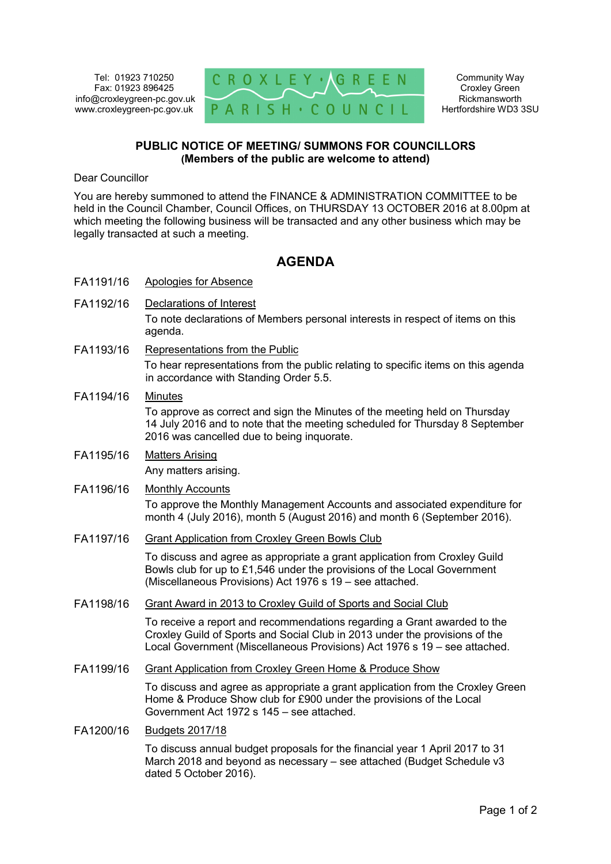Tel: 01923 710250 Fax: 01923 896425 info@croxleygreen-pc.gov.uk www.croxleygreen-pc.gov.uk



Community Way Croxley Green Rickmansworth Hertfordshire WD3 3SU

## **PUBLIC NOTICE OF MEETING/ SUMMONS FOR COUNCILLORS (Members of the public are welcome to attend)**

Dear Councillor

You are hereby summoned to attend the FINANCE & ADMINISTRATION COMMITTEE to be held in the Council Chamber, Council Offices, on THURSDAY 13 OCTOBER 2016 at 8.00pm at which meeting the following business will be transacted and any other business which may be legally transacted at such a meeting.

## **AGENDA**

- FA1191/16 Apologies for Absence
- FA1192/16 Declarations of Interest

To note declarations of Members personal interests in respect of items on this agenda.

- FA1193/16 Representations from the Public To hear representations from the public relating to specific items on this agenda in accordance with Standing Order 5.5.
- FA1194/16 Minutes To approve as correct and sign the Minutes of the meeting held on Thursday 14 July 2016 and to note that the meeting scheduled for Thursday 8 September 2016 was cancelled due to being inquorate.
- FA1195/16 Matters Arising Any matters arising.
- FA1196/16 Monthly Accounts

To approve the Monthly Management Accounts and associated expenditure for month 4 (July 2016), month 5 (August 2016) and month 6 (September 2016).

FA1197/16 Grant Application from Croxley Green Bowls Club

To discuss and agree as appropriate a grant application from Croxley Guild Bowls club for up to £1,546 under the provisions of the Local Government (Miscellaneous Provisions) Act 1976 s 19 – see attached.

FA1198/16 Grant Award in 2013 to Croxley Guild of Sports and Social Club

To receive a report and recommendations regarding a Grant awarded to the Croxley Guild of Sports and Social Club in 2013 under the provisions of the Local Government (Miscellaneous Provisions) Act 1976 s 19 – see attached.

FA1199/16 Grant Application from Croxley Green Home & Produce Show

To discuss and agree as appropriate a grant application from the Croxley Green Home & Produce Show club for £900 under the provisions of the Local Government Act 1972 s 145 – see attached.

## FA1200/16 Budgets 2017/18

To discuss annual budget proposals for the financial year 1 April 2017 to 31 March 2018 and beyond as necessary – see attached (Budget Schedule v3 dated 5 October 2016).